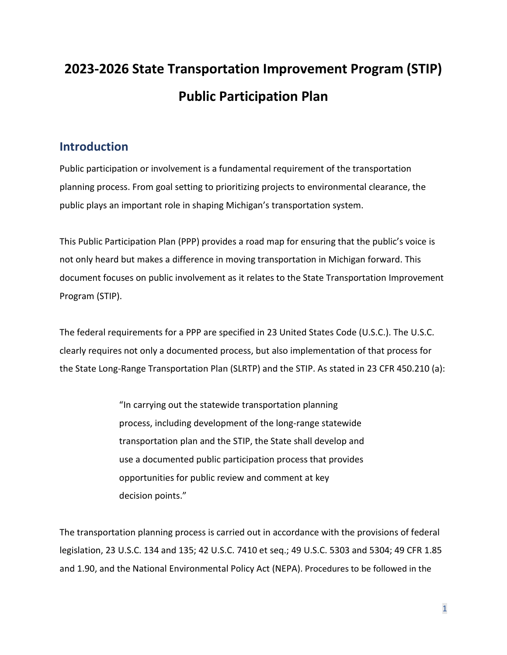# **2023-2026 State Transportation Improvement Program (STIP) Public Participation Plan**

## **Introduction**

Public participation or involvement is a fundamental requirement of the transportation planning process. From goal setting to prioritizing projects to environmental clearance, the public plays an important role in shaping Michigan's transportation system.

This Public Participation Plan (PPP) provides a road map for ensuring that the public's voice is not only heard but makes a difference in moving transportation in Michigan forward. This document focuses on public involvement as it relates to the State Transportation Improvement Program (STIP).

The federal requirements for a PPP are specified in 23 United States Code (U.S.C.). The U.S.C. clearly requires not only a documented process, but also implementation of that process for the State Long-Range Transportation Plan (SLRTP) and the STIP. As stated in 23 CFR 450.210 (a):

> "In carrying out the statewide transportation planning process, including development of the long-range statewide transportation plan and the STIP, the State shall develop and use a documented public participation process that provides opportunities for public review and comment at key decision points."

The transportation planning process is carried out in accordance with the provisions of federal legislation, 23 U.S.C. 134 and 135; 42 U.S.C. 7410 et seq.; 49 U.S.C. 5303 and 5304; 49 CFR 1.85 and 1.90, and the National Environmental Policy Act (NEPA). Procedures to be followed in the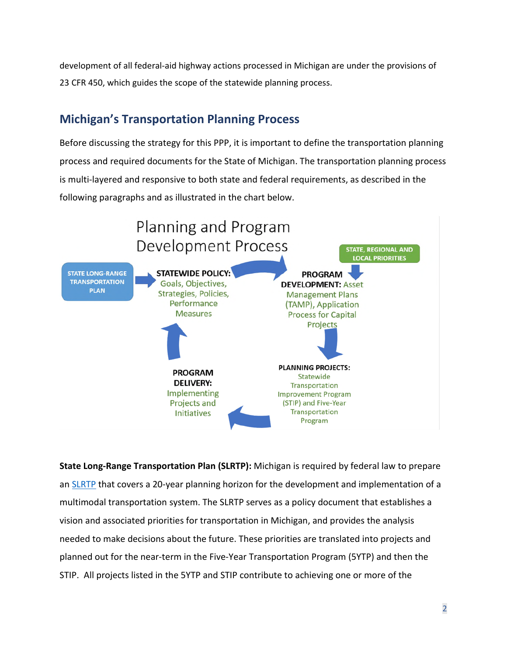development of all federal-aid highway actions processed in Michigan are under the provisions of 23 CFR 450, which guides the scope of the statewide planning process.

## **Michigan's Transportation Planning Process**

Before discussing the strategy for this PPP, it is important to define the transportation planning process and required documents for the State of Michigan. The transportation planning process is multi-layered and responsive to both state and federal requirements, as described in the following paragraphs and as illustrated in the chart below.



**State Long-Range Transportation Plan (SLRTP):** Michigan is required by federal law to prepare an [SLRTP](https://www.michigan.gov/mdot/0,4616,7-151-9621_14807_14809---,00.html) that covers a 20-year planning horizon for the development and implementation of a multimodal transportation system. The SLRTP serves as a policy document that establishes a vision and associated priorities for transportation in Michigan, and provides the analysis needed to make decisions about the future. These priorities are translated into projects and planned out for the near-term in the Five-Year Transportation Program (5YTP) and then the STIP. All projects listed in the 5YTP and STIP contribute to achieving one or more of the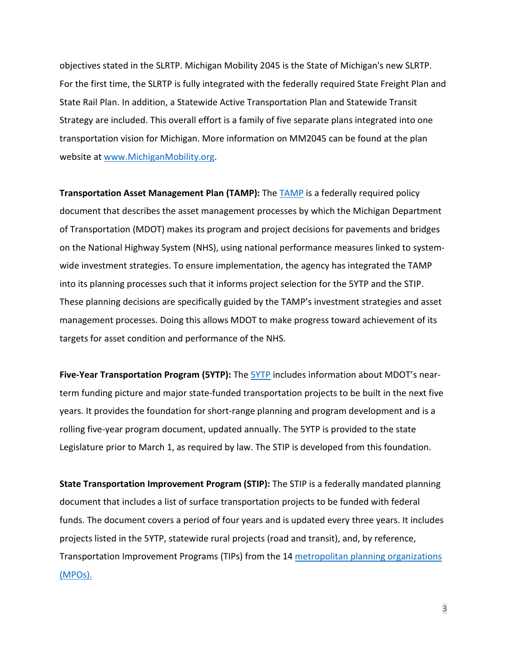objectives stated in the SLRTP. Michigan Mobility 2045 is the State of Michigan's new SLRTP. For the first time, the SLRTP is fully integrated with the federally required State Freight Plan and State Rail Plan. In addition, a Statewide Active Transportation Plan and Statewide Transit Strategy are included. This overall effort is a family of five separate plans integrated into one transportation vision for Michigan. More information on MM2045 can be found at the plan website at [www.MichiganMobility.org](http://www.michiganmobility.org/).

**Transportation Asset Management Plan (TAMP):** The [TAMP](https://gcc02.safelinks.protection.outlook.com/?url=https%3A%2F%2Fwww.michigan.gov%2Fdocuments%2Fmdot%2FFINAL_2019_TAMP_-_Web_Version_-_2019_06_18_Updates_659024_7.pdf&data=04%7C01%7CMayleD%40michigan.gov%7Ca8648ad2ef0242e5541708d8cdcca952%7Cd5fb7087377742ad966a892ef47225d1%7C0%7C0%7C637485626176828984%7CUnknown%7CTWFpbGZsb3d8eyJWIjoiMC4wLjAwMDAiLCJQIjoiV2luMzIiLCJBTiI6Ik1haWwiLCJXVCI6Mn0%3D%7C1000&sdata=dudi5d3MTbFG85cu3s3XL9MTS0mmig1l5VsEovqdXYw%3D&reserved=0) is a federally required policy document that describes the asset management processes by which the Michigan Department of Transportation (MDOT) makes its program and project decisions for pavements and bridges on the National Highway System (NHS), using national performance measures linked to systemwide investment strategies. To ensure implementation, the agency has integrated the TAMP into its planning processes such that it informs project selection for the 5YTP and the STIP. These planning decisions are specifically guided by the TAMP's investment strategies and asset management processes. Doing this allows MDOT to make progress toward achievement of its targets for asset condition and performance of the NHS.

**Five-Year Transportation Program (5YTP):** The [5YTP](https://www.michigan.gov/mdot/0,4616,7-151-9621_14807_14810_59639---,00.html) includes information about MDOT's nearterm funding picture and major state-funded transportation projects to be built in the next five years. It provides the foundation for short-range planning and program development and is a rolling five-year program document, updated annually. The 5YTP is provided to the state Legislature prior to March 1, as required by law. The STIP is developed from this foundation.

**State Transportation Improvement Program (STIP):** The STIP is a federally mandated planning document that includes a list of surface transportation projects to be funded with federal funds. The document covers a period of four years and is updated every three years. It includes projects listed in the 5YTP, statewide rural projects (road and transit), and, by reference, Transportation Improvement Programs (TIPs) from the 14 [metropolitan planning organizations](http://www.mtpa-mi.org/links.asp)  [\(MPOs\).](http://www.mtpa-mi.org/links.asp)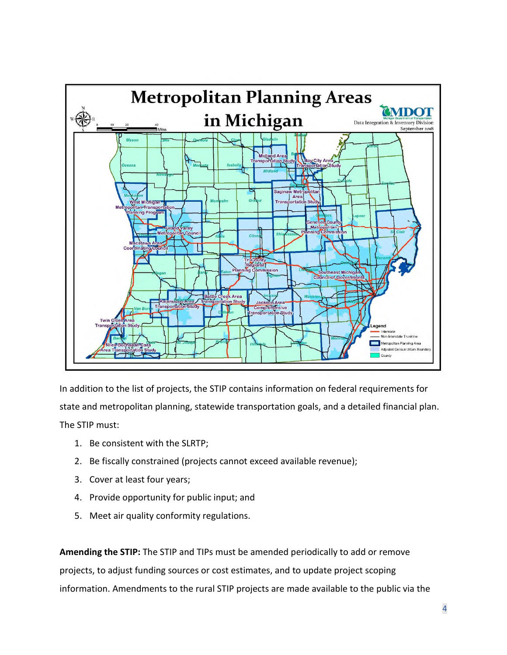

In addition to the list of projects, the STIP contains information on federal requirements for state and metropolitan planning, statewide transportation goals, and a detailed financial plan. The STIP must:

- 1. Be consistent with the SLRTP;
- 2. Be fiscally constrained (projects cannot exceed available revenue);
- 3. Cover at least four years;
- 4. Provide opportunity for public input; and
- 5. Meet air quality conformity regulations.

**Amending the STIP:** The STIP and TIPs must be amended periodically to add or remove projects, to adjust funding sources or cost estimates, and to update project scoping information. Amendments to the rural STIP projects are made available to the public via the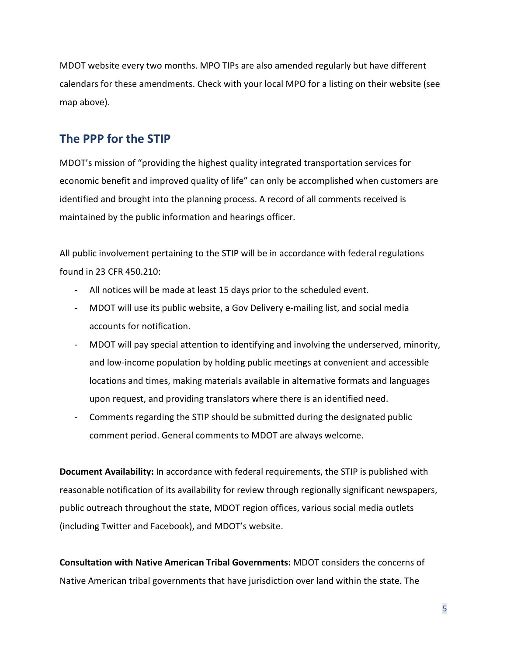MDOT website every two months. MPO TIPs are also amended regularly but have different calendars for these amendments. Check with your local MPO for a listing on their website (see map above).

## **The PPP for the STIP**

MDOT's mission of "providing the highest quality integrated transportation services for economic benefit and improved quality of life" can only be accomplished when customers are identified and brought into the planning process. A record of all comments received is maintained by the public information and hearings officer.

All public involvement pertaining to the STIP will be in accordance with federal regulations found in 23 CFR 450.210:

- All notices will be made at least 15 days prior to the scheduled event.
- MDOT will use its public website, a Gov Delivery e-mailing list, and social media accounts for notification.
- MDOT will pay special attention to identifying and involving the underserved, minority, and low-income population by holding public meetings at convenient and accessible locations and times, making materials available in alternative formats and languages upon request, and providing translators where there is an identified need.
- Comments regarding the STIP should be submitted during the designated public comment period. General comments to MDOT are always welcome.

**Document Availability:** In accordance with federal requirements, the STIP is published with reasonable notification of its availability for review through regionally significant newspapers, public outreach throughout the state, MDOT region offices, various social media outlets (including Twitter and Facebook), and MDOT's website.

**Consultation with Native American Tribal Governments:** MDOT considers the concerns of Native American tribal governments that have jurisdiction over land within the state. The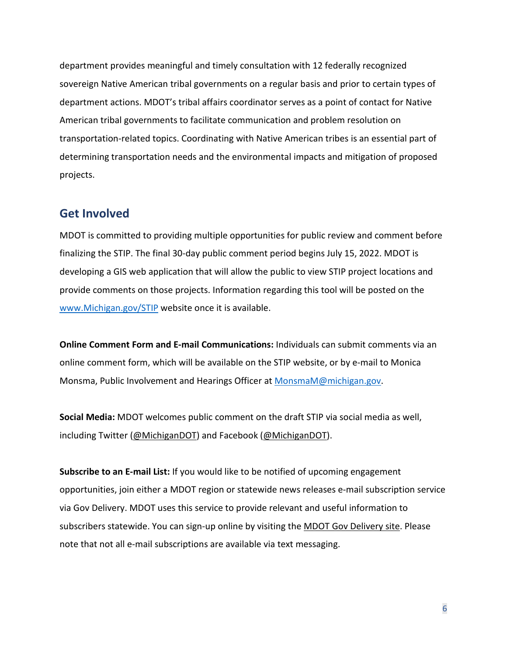department provides meaningful and timely consultation with 12 federally recognized sovereign Native American tribal governments on a regular basis and prior to certain types of department actions. MDOT's tribal affairs coordinator serves as a point of contact for Native American tribal governments to facilitate communication and problem resolution on transportation-related topics. Coordinating with Native American tribes is an essential part of determining transportation needs and the environmental impacts and mitigation of proposed projects.

### **Get Involved**

MDOT is committed to providing multiple opportunities for public review and comment before finalizing the STIP. The final 30-day public comment period begins July 15, 2022. MDOT is developing a GIS web application that will allow the public to view STIP project locations and provide comments on those projects. Information regarding this tool will be posted on the [www.Michigan.gov/STIP](http://www.michigan.gov/STIP) website once it is available.

**Online Comment Form and E-mail Communications:** Individuals can submit comments via an online comment form, which will be available on the STIP website, or by e-mail to Monica Monsma, Public Involvement and Hearings Officer at [MonsmaM@michigan.gov](mailto:MonsmaM@michigan.gov).

**Social Media:** MDOT welcomes public comment on the draft STIP via social media as well, including Twitter ([@MichiganDOT](http://www.twitter.com/michigandot)) and Facebook ([@MichiganDOT\)](http://www.facebook.com/michigandot).

**Subscribe to an E-mail List:** If you would like to be notified of upcoming engagement opportunities, join either a MDOT region or statewide news releases e-mail subscription service via Gov Delivery. MDOT uses this service to provide relevant and useful information to subscribers statewide. You can sign-up online by visiting the [MDOT Gov Delivery site](https://public.govdelivery.com/accounts/midot/subscriber/new). Please note that not all e-mail subscriptions are available via text messaging.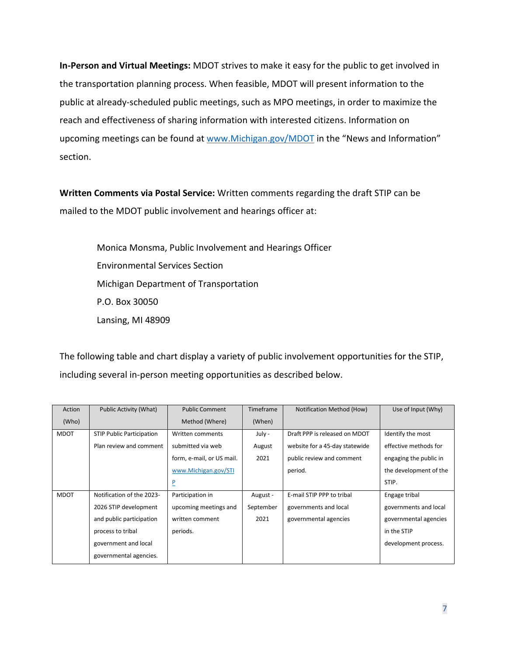**In-Person and Virtual Meetings:** MDOT strives to make it easy for the public to get involved in the transportation planning process. When feasible, MDOT will present information to the public at already-scheduled public meetings, such as MPO meetings, in order to maximize the reach and effectiveness of sharing information with interested citizens. Information on upcoming meetings can be found at [www.Michigan.gov/MDOT](http://www.michigan.gov/MDOT) in the "News and Information" section.

**Written Comments via Postal Service:** Written comments regarding the draft STIP can be mailed to the MDOT public involvement and hearings officer at:

> Monica Monsma, Public Involvement and Hearings Officer Environmental Services Section Michigan Department of Transportation P.O. Box 30050 Lansing, MI 48909

The following table and chart display a variety of public involvement opportunities for the STIP, including several in-person meeting opportunities as described below.

| Action      | <b>Public Activity (What)</b>    | <b>Public Comment</b>     | Timeframe | Notification Method (How)      | Use of Input (Why)     |
|-------------|----------------------------------|---------------------------|-----------|--------------------------------|------------------------|
| (Who)       |                                  | Method (Where)            | (When)    |                                |                        |
| <b>MDOT</b> | <b>STIP Public Participation</b> | Written comments          | July -    | Draft PPP is released on MDOT  | Identify the most      |
|             | Plan review and comment          | submitted via web         | August    | website for a 45-day statewide | effective methods for  |
|             |                                  | form, e-mail, or US mail. | 2021      | public review and comment      | engaging the public in |
|             |                                  | www.Michigan.gov/STI      |           | period.                        | the development of the |
|             |                                  | $\overline{P}$            |           |                                | STIP.                  |
| <b>MDOT</b> | Notification of the 2023-        | Participation in          | August -  | E-mail STIP PPP to tribal      | Engage tribal          |
|             | 2026 STIP development            | upcoming meetings and     | September | governments and local          | governments and local  |
|             | and public participation         | written comment           | 2021      | governmental agencies          | governmental agencies  |
|             | process to tribal                | periods.                  |           |                                | in the STIP            |
|             | government and local             |                           |           |                                | development process.   |
|             | governmental agencies.           |                           |           |                                |                        |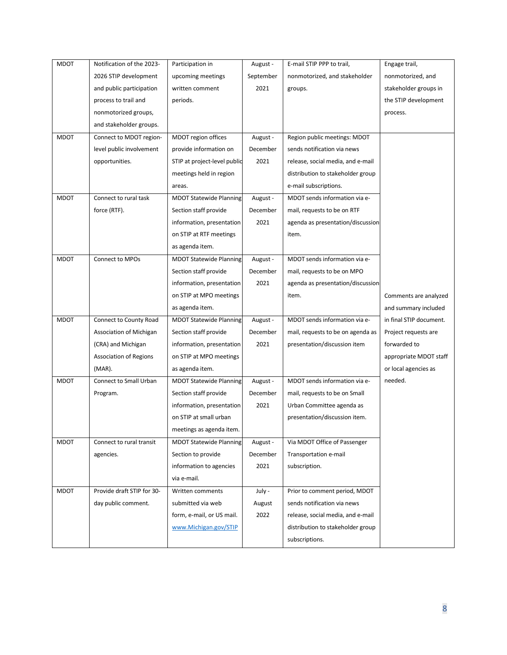| <b>MDOT</b> | Notification of the 2023-     | Participation in               | August -  | E-mail STIP PPP to trail,         | Engage trail,           |
|-------------|-------------------------------|--------------------------------|-----------|-----------------------------------|-------------------------|
|             |                               |                                |           |                                   |                         |
|             | 2026 STIP development         | upcoming meetings              | September | nonmotorized, and stakeholder     | nonmotorized, and       |
|             | and public participation      | written comment                | 2021      | groups.                           | stakeholder groups in   |
|             | process to trail and          | periods.                       |           |                                   | the STIP development    |
|             | nonmotorized groups,          |                                |           |                                   | process.                |
|             | and stakeholder groups.       |                                |           |                                   |                         |
| <b>MDOT</b> | Connect to MDOT region-       | MDOT region offices            | August -  | Region public meetings: MDOT      |                         |
|             | level public involvement      | provide information on         | December  | sends notification via news       |                         |
|             | opportunities.                | STIP at project-level public   | 2021      | release, social media, and e-mail |                         |
|             |                               | meetings held in region        |           | distribution to stakeholder group |                         |
|             |                               | areas.                         |           | e-mail subscriptions.             |                         |
| <b>MDOT</b> | Connect to rural task         | <b>MDOT Statewide Planning</b> | August -  | MDOT sends information via e-     |                         |
|             | force (RTF).                  | Section staff provide          | December  | mail, requests to be on RTF       |                         |
|             |                               | information, presentation      | 2021      | agenda as presentation/discussion |                         |
|             |                               | on STIP at RTF meetings        |           | item.                             |                         |
|             |                               | as agenda item.                |           |                                   |                         |
| <b>MDOT</b> | Connect to MPOs               | <b>MDOT Statewide Planning</b> | August -  | MDOT sends information via e-     |                         |
|             |                               | Section staff provide          | December  | mail, requests to be on MPO       |                         |
|             |                               | information, presentation      | 2021      | agenda as presentation/discussion |                         |
|             |                               | on STIP at MPO meetings        |           | item.                             | Comments are analyzed   |
|             |                               | as agenda item.                |           |                                   | and summary included    |
| <b>MDOT</b> | Connect to County Road        | <b>MDOT Statewide Planning</b> | August -  | MDOT sends information via e-     | in final STIP document. |
|             | Association of Michigan       | Section staff provide          | December  | mail, requests to be on agenda as | Project requests are    |
|             | (CRA) and Michigan            | information, presentation      | 2021      | presentation/discussion item      | forwarded to            |
|             | <b>Association of Regions</b> | on STIP at MPO meetings        |           |                                   | appropriate MDOT staff  |
|             | $(MAR)$ .                     | as agenda item.                |           |                                   | or local agencies as    |
|             |                               |                                |           |                                   |                         |
| <b>MDOT</b> | Connect to Small Urban        | <b>MDOT Statewide Planning</b> | August -  | MDOT sends information via e-     | needed.                 |
|             | Program.                      | Section staff provide          | December  | mail, requests to be on Small     |                         |
|             |                               | information, presentation      | 2021      | Urban Committee agenda as         |                         |
|             |                               | on STIP at small urban         |           | presentation/discussion item.     |                         |
|             |                               | meetings as agenda item.       |           |                                   |                         |
| MDOT        | Connect to rural transit      | <b>MDOT Statewide Planning</b> | August -  | Via MDOT Office of Passenger      |                         |
|             | agencies.                     | Section to provide             | December  | Transportation e-mail             |                         |
|             |                               | information to agencies        | 2021      | subscription.                     |                         |
|             |                               | via e-mail.                    |           |                                   |                         |
| <b>MDOT</b> | Provide draft STIP for 30-    | Written comments               | July -    | Prior to comment period, MDOT     |                         |
|             | day public comment.           | submitted via web              | August    | sends notification via news       |                         |
|             |                               | form, e-mail, or US mail.      | 2022      | release, social media, and e-mail |                         |
|             |                               | www.Michigan.gov/STIP          |           | distribution to stakeholder group |                         |
|             |                               |                                |           | subscriptions.                    |                         |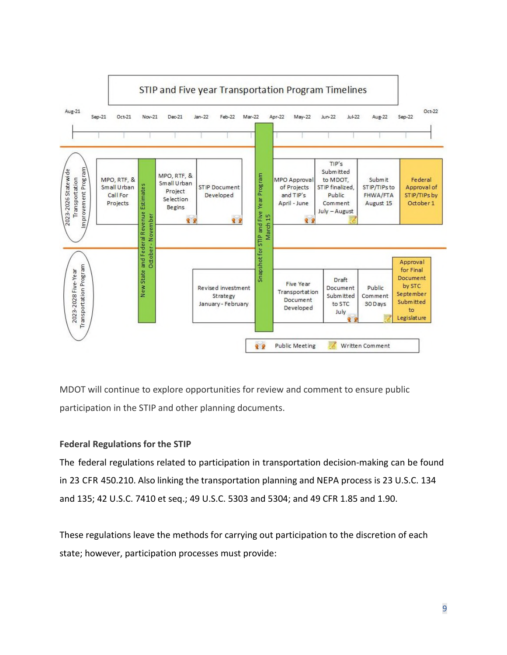

MDOT will continue to explore opportunities for review and comment to ensure public participation in the STIP and other planning documents.

#### **Federal Regulations for the STIP**

The federal regulations related to participation in transportation decision-making can be found in 23 CFR 450.210. Also linking the transportation planning and NEPA process is 23 U.S.C. 134 and 135; 42 U.S.C. 7410 et seq.; 49 U.S.C. 5303 and 5304; and 49 CFR 1.85 and 1.90.

These regulations leave the methods for carrying out participation to the discretion of each state; however, participation processes must provide: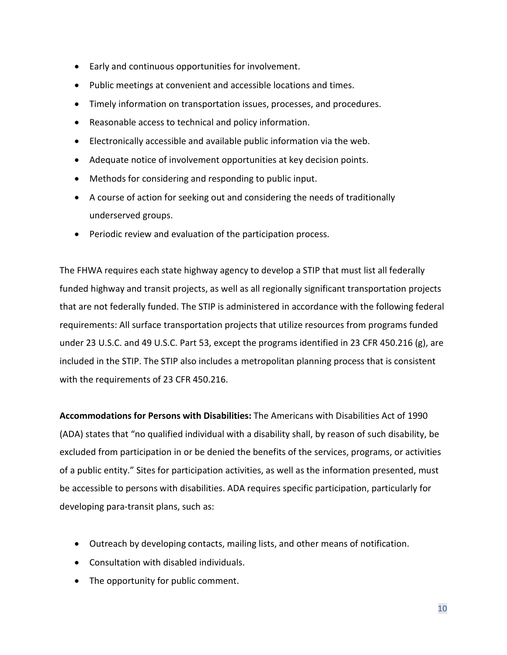- Early and continuous opportunities for involvement.
- Public meetings at convenient and accessible locations and times.
- Timely information on transportation issues, processes, and procedures.
- Reasonable access to technical and policy information.
- Electronically accessible and available public information via the web.
- Adequate notice of involvement opportunities at key decision points.
- Methods for considering and responding to public input.
- A course of action for seeking out and considering the needs of traditionally underserved groups.
- Periodic review and evaluation of the participation process.

The FHWA requires each state highway agency to develop a STIP that must list all federally funded highway and transit projects, as well as all regionally significant transportation projects that are not federally funded. The STIP is administered in accordance with the following federal requirements: All surface transportation projects that utilize resources from programs funded under 23 U.S.C. and 49 U.S.C. Part 53, except the programs identified in 23 CFR 450.216 (g), are included in the STIP. The STIP also includes a metropolitan planning process that is consistent with the requirements of 23 CFR 450.216.

**Accommodations for Persons with Disabilities:** The Americans with Disabilities Act of 1990 (ADA) states that "no qualified individual with a disability shall, by reason of such disability, be excluded from participation in or be denied the benefits of the services, programs, or activities of a public entity." Sites for participation activities, as well as the information presented, must be accessible to persons with disabilities. ADA requires specific participation, particularly for developing para-transit plans, such as:

- Outreach by developing contacts, mailing lists, and other means of notification.
- Consultation with disabled individuals.
- The opportunity for public comment.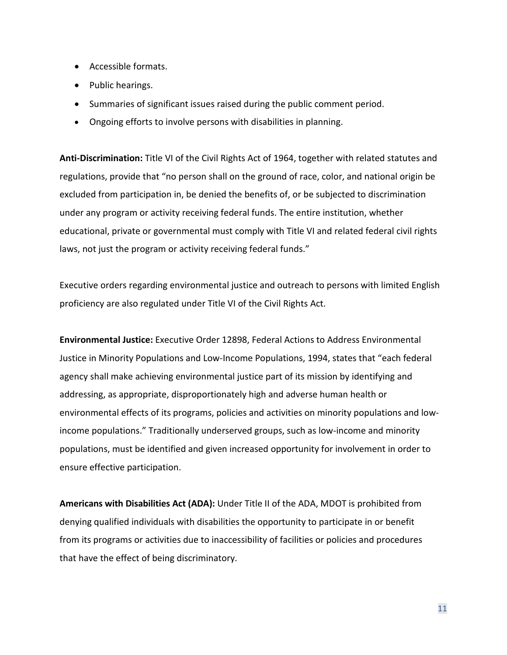- Accessible formats.
- Public hearings.
- Summaries of significant issues raised during the public comment period.
- Ongoing efforts to involve persons with disabilities in planning.

**Anti-Discrimination:** Title VI of the Civil Rights Act of 1964, together with related statutes and regulations, provide that "no person shall on the ground of race, color, and national origin be excluded from participation in, be denied the benefits of, or be subjected to discrimination under any program or activity receiving federal funds. The entire institution, whether educational, private or governmental must comply with Title VI and related federal civil rights laws, not just the program or activity receiving federal funds."

Executive orders regarding environmental justice and outreach to persons with limited English proficiency are also regulated under Title VI of the Civil Rights Act.

**Environmental Justice:** Executive Order 12898, Federal Actions to Address Environmental Justice in Minority Populations and Low-Income Populations, 1994, states that "each federal agency shall make achieving environmental justice part of its mission by identifying and addressing, as appropriate, disproportionately high and adverse human health or environmental effects of its programs, policies and activities on minority populations and lowincome populations." Traditionally underserved groups, such as low-income and minority populations, must be identified and given increased opportunity for involvement in order to ensure effective participation.

**Americans with Disabilities Act (ADA):** Under Title II of the ADA, MDOT is prohibited from denying qualified individuals with disabilities the opportunity to participate in or benefit from its programs or activities due to inaccessibility of facilities or policies and procedures that have the effect of being discriminatory.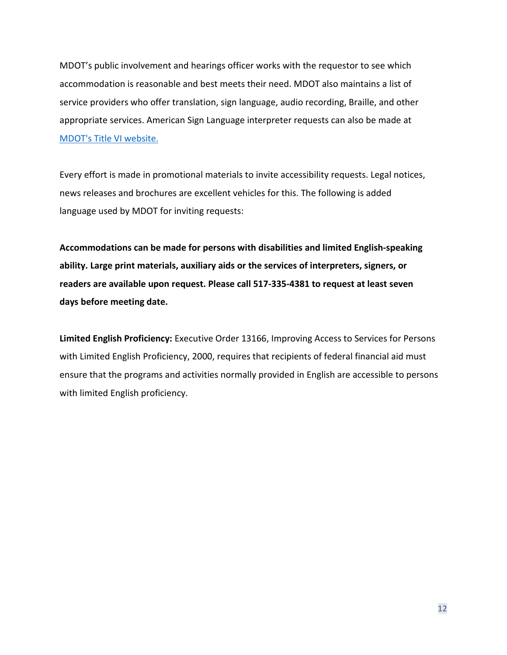MDOT's public involvement and hearings officer works with the requestor to see which accommodation is reasonable and best meets their need. MDOT also maintains a list of service providers who offer translation, sign language, audio recording, Braille, and other appropriate services. American Sign Language interpreter requests can also be made at [MDOT's Title VI website.](https://www.michigan.gov/mdot/0,4616,7-151-9621_31783---,00.html)

Every effort is made in promotional materials to invite accessibility requests. Legal notices, news releases and brochures are excellent vehicles for this. The following is added language used by MDOT for inviting requests:

**Accommodations can be made for persons with disabilities and limited English-speaking ability. Large print materials, auxiliary aids or the services of interpreters, signers, or readers are available upon request. Please call 517-335-4381 to request at least seven days before meeting date.** 

**Limited English Proficiency:** Executive Order 13166, Improving Access to Services for Persons with Limited English Proficiency, 2000, requires that recipients of federal financial aid must ensure that the programs and activities normally provided in English are accessible to persons with limited English proficiency.